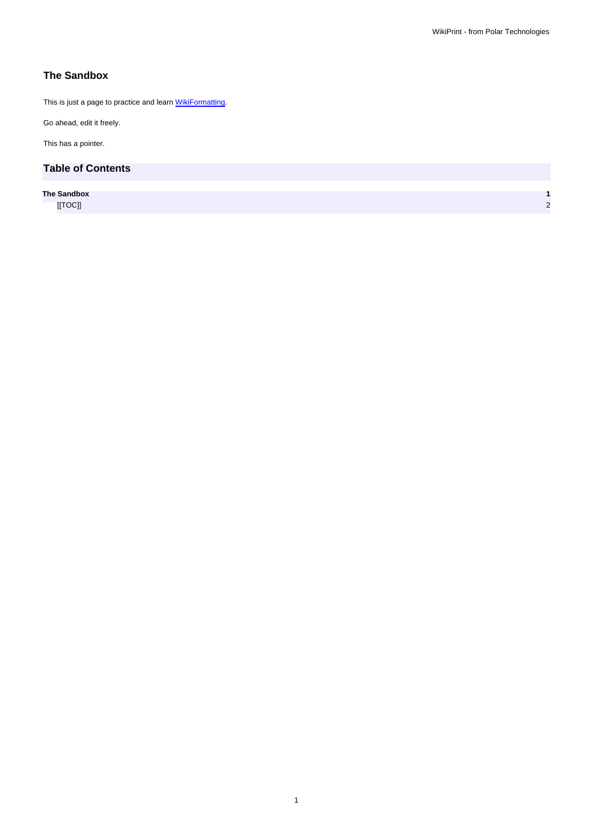## **The Sandbox**

This is just a page to practice and learn **WikiFormatting**.

Go ahead, edit it freely.

This has a pointer.

## **Table of Contents**

**The Sandbox 1** [[TOC]] 2